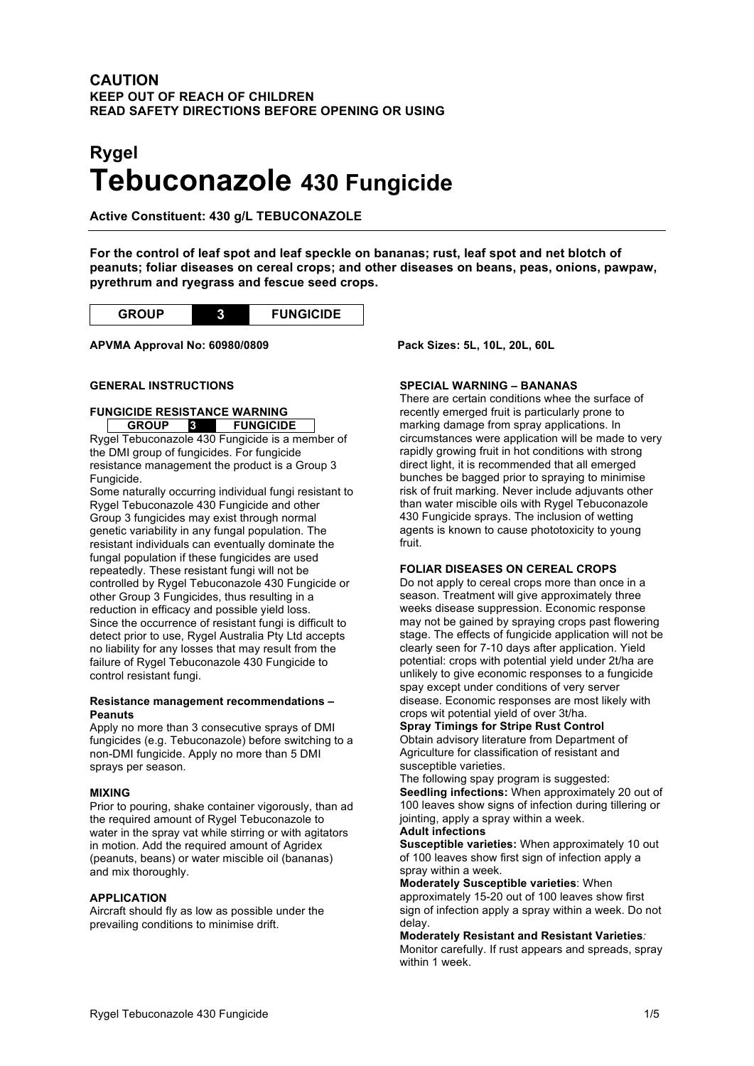# **CAUTION KEEP OUT OF REACH OF CHILDREN READ SAFETY DIRECTIONS BEFORE OPENING OR USING**

# **Rygel Tebuconazole 430 Fungicide**

**Active Constituent: 430 g/L TEBUCONAZOLE**

**For the control of leaf spot and leaf speckle on bananas; rust, leaf spot and net blotch of peanuts; foliar diseases on cereal crops; and other diseases on beans, peas, onions, pawpaw, pyrethrum and ryegrass and fescue seed crops.**



**APVMA Approval No: 60980/0809 Pack Sizes: 5L, 10L, 20L, 60L**

#### **GENERAL INSTRUCTIONS**

#### **FUNGICIDE RESISTANCE WARNING GROUP 3 FUNGICIDE**

Rygel Tebuconazole 430 Fungicide is a member of the DMI group of fungicides. For fungicide resistance management the product is a Group 3 Fungicide.

Some naturally occurring individual fungi resistant to Rygel Tebuconazole 430 Fungicide and other Group 3 fungicides may exist through normal genetic variability in any fungal population. The resistant individuals can eventually dominate the fungal population if these fungicides are used repeatedly. These resistant fungi will not be controlled by Rygel Tebuconazole 430 Fungicide or other Group 3 Fungicides, thus resulting in a reduction in efficacy and possible yield loss. Since the occurrence of resistant fungi is difficult to detect prior to use, Rygel Australia Pty Ltd accepts no liability for any losses that may result from the failure of Rygel Tebuconazole 430 Fungicide to control resistant fungi.

#### **Resistance management recommendations – Peanuts**

Apply no more than 3 consecutive sprays of DMI fungicides (e.g. Tebuconazole) before switching to a non-DMI fungicide. Apply no more than 5 DMI sprays per season.

#### **MIXING**

Prior to pouring, shake container vigorously, than ad the required amount of Rygel Tebuconazole to water in the spray vat while stirring or with agitators in motion. Add the required amount of Agridex (peanuts, beans) or water miscible oil (bananas) and mix thoroughly.

### **APPLICATION**

Aircraft should fly as low as possible under the prevailing conditions to minimise drift.

#### **SPECIAL WARNING – BANANAS**

There are certain conditions whee the surface of recently emerged fruit is particularly prone to marking damage from spray applications. In circumstances were application will be made to very rapidly growing fruit in hot conditions with strong direct light, it is recommended that all emerged bunches be bagged prior to spraying to minimise risk of fruit marking. Never include adjuvants other than water miscible oils with Rygel Tebuconazole 430 Fungicide sprays. The inclusion of wetting agents is known to cause phototoxicity to young fruit.

#### **FOLIAR DISEASES ON CEREAL CROPS**

Do not apply to cereal crops more than once in a season. Treatment will give approximately three weeks disease suppression. Economic response may not be gained by spraying crops past flowering stage. The effects of fungicide application will not be clearly seen for 7-10 days after application. Yield potential: crops with potential yield under 2t/ha are unlikely to give economic responses to a fungicide spay except under conditions of very server disease. Economic responses are most likely with crops wit potential yield of over 3t/ha.

#### **Spray Timings for Stripe Rust Control**

Obtain advisory literature from Department of Agriculture for classification of resistant and susceptible varieties.

The following spay program is suggested: **Seedling infections:** When approximately 20 out of 100 leaves show signs of infection during tillering or jointing, apply a spray within a week. **Adult infections**

**Susceptible varieties:** When approximately 10 out of 100 leaves show first sign of infection apply a spray within a week.

**Moderately Susceptible varieties**: When approximately 15-20 out of 100 leaves show first sign of infection apply a spray within a week. Do not delay.

**Moderately Resistant and Resistant Varieties***:*  Monitor carefully. If rust appears and spreads, spray within 1 week.